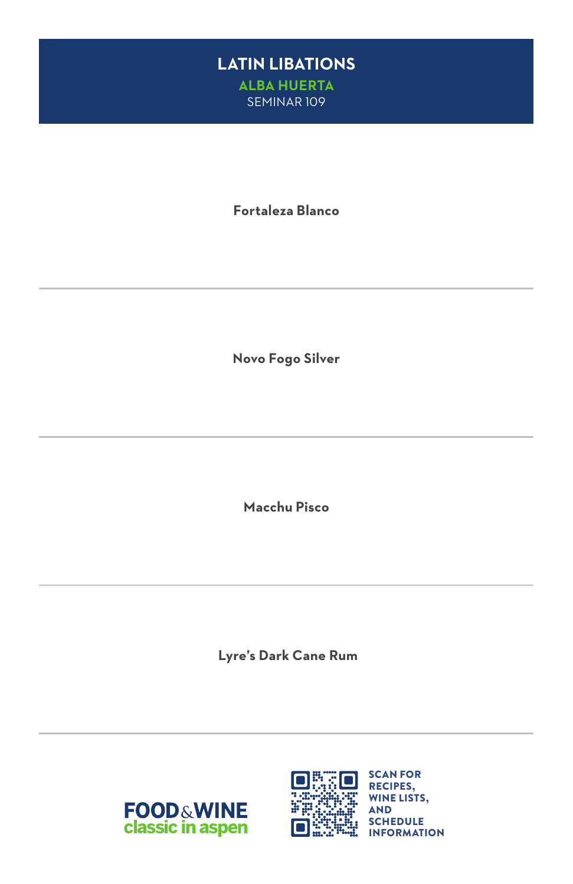#### **LATIN LIBATIONS ALBA HUERTA** SEMINAR 109

**Fortaleza Blanco**

**Novo Fogo Silver**

**Macchu Pisco**

 **Lyre's Dark Cane Rum**



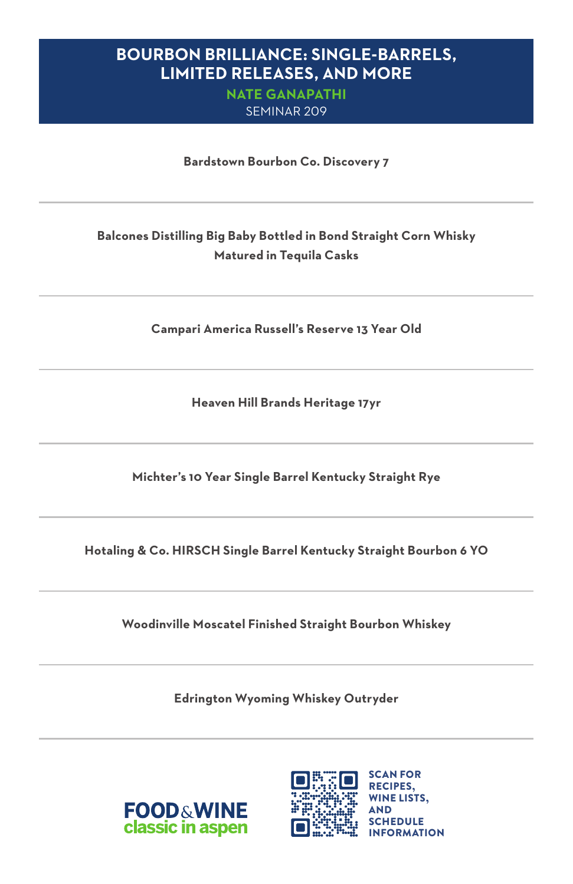#### **BOURBON BRILLIANCE: SINGLE-BARRELS, LIMITED RELEASES, AND MORE**

**NATE GANAPATHI** SEMINAR 209

**Bardstown Bourbon Co. Discovery 7**

#### **Balcones Distilling Big Baby Bottled in Bond Straight Corn Whisky Matured in Tequila Casks**

**Campari America Russell's Reserve 13 Year Old**

**Heaven Hill Brands Heritage 17yr**

**Michter's 10 Year Single Barrel Kentucky Straight Rye**

**Hotaling & Co. HIRSCH Single Barrel Kentucky Straight Bourbon 6 YO**

**Woodinville Moscatel Finished Straight Bourbon Whiskey**

**Edrington Wyoming Whiskey Outryder**



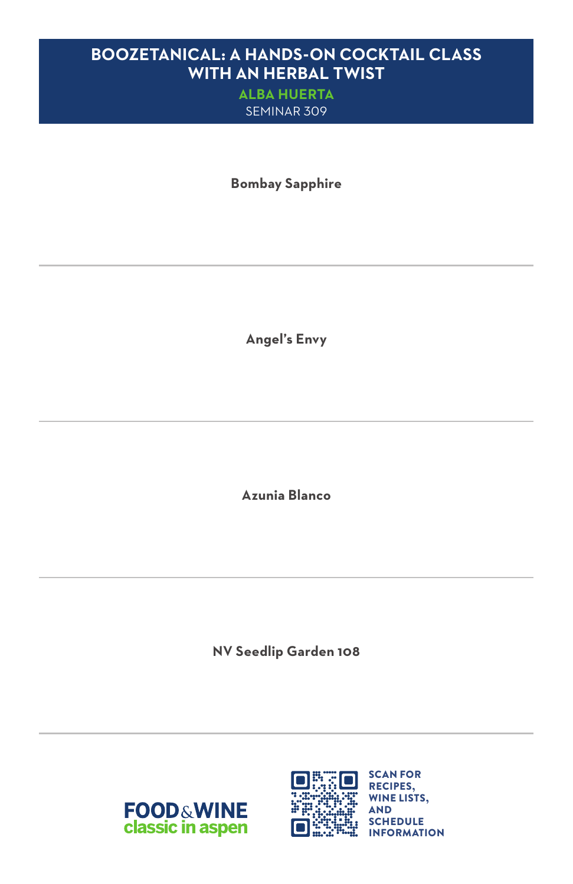### **BOOZETANICAL: A HANDS-ON COCKTAIL CLASS WITH AN HERBAL TWIST**

**ALBA HUERTA** SEMINAR 309

**Bombay Sapphire**

**Angel's Envy**

**Azunia Blanco**

**NV Seedlip Garden 108**



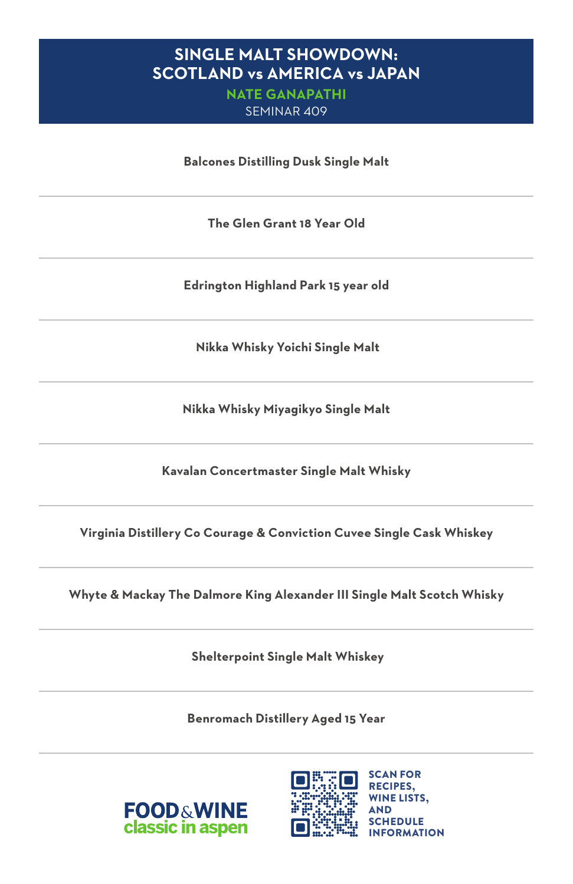#### **SINGLE MALT SHOWDOWN: SCOTLAND vs AMERICA vs JAPAN**

**NATE GANAPATHI** SEMINAR 409

**Balcones Distilling Dusk Single Malt**

**The Glen Grant 18 Year Old**

**Edrington Highland Park 15 year old**

 **Nikka Whisky Yoichi Single Malt**

**Nikka Whisky Miyagikyo Single Malt**

**Kavalan Concertmaster Single Malt Whisky**

**Virginia Distillery Co Courage & Conviction Cuvee Single Cask Whiskey**

**Whyte & Mackay The Dalmore King Alexander III Single Malt Scotch Whisky**

 **Shelterpoint Single Malt Whiskey**

**Benromach Distillery Aged 15 Year**



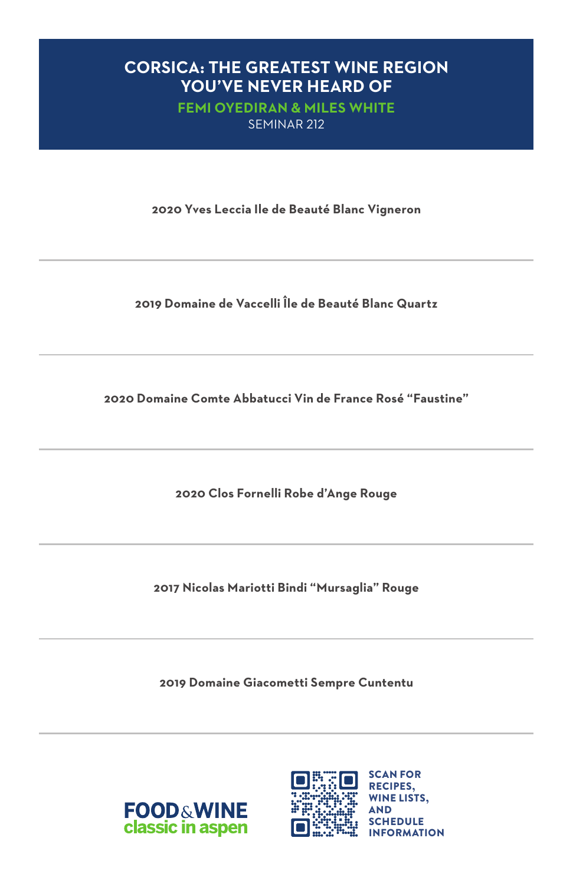#### **CORSICA: THE GREATEST WINE REGION YOU'VE NEVER HEARD OF**

**FEMI OYEDIRAN & MILES WHITE** SEMINAR 212

**2020 Yves Leccia Ile de Beauté Blanc Vigneron**

**2019 Domaine de Vaccelli Île de Beauté Blanc Quartz**

**2020 Domaine Comte Abbatucci Vin de France Rosé "Faustine"**

**2020 Clos Fornelli Robe d'Ange Rouge**

**2017 Nicolas Mariotti Bindi "Mursaglia" Rouge**

**2019 Domaine Giacometti Sempre Cuntentu**



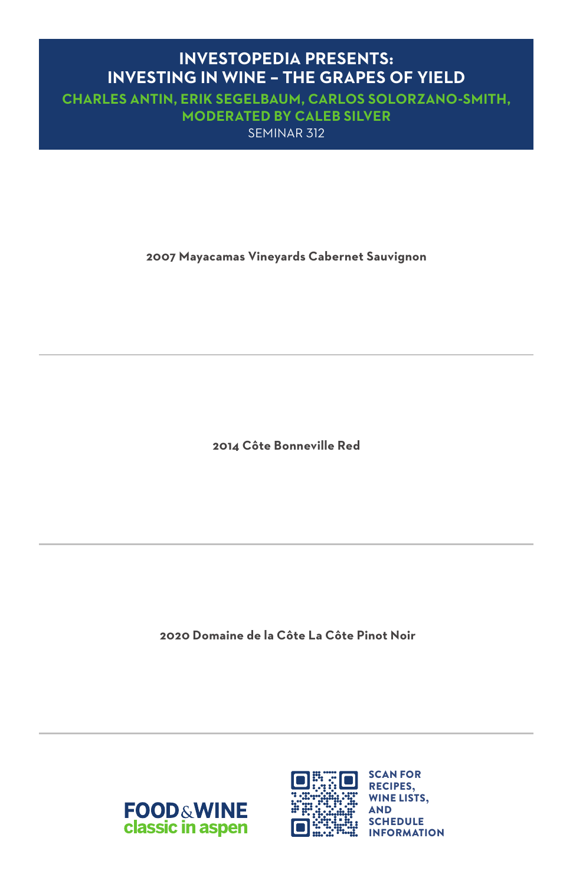### **INVESTOPEDIA PRESENTS: INVESTING IN WINE – THE GRAPES OF YIELD**

**CHARLES ANTIN, ERIK SEGELBAUM, CARLOS SOLORZANO-SMITH, MODERATED BY CALEB SILVER** SEMINAR 312

**2007 Mayacamas Vineyards Cabernet Sauvignon**

**2014 Côte Bonneville Red**

 **2020 Domaine de la Côte La Côte Pinot Noir**



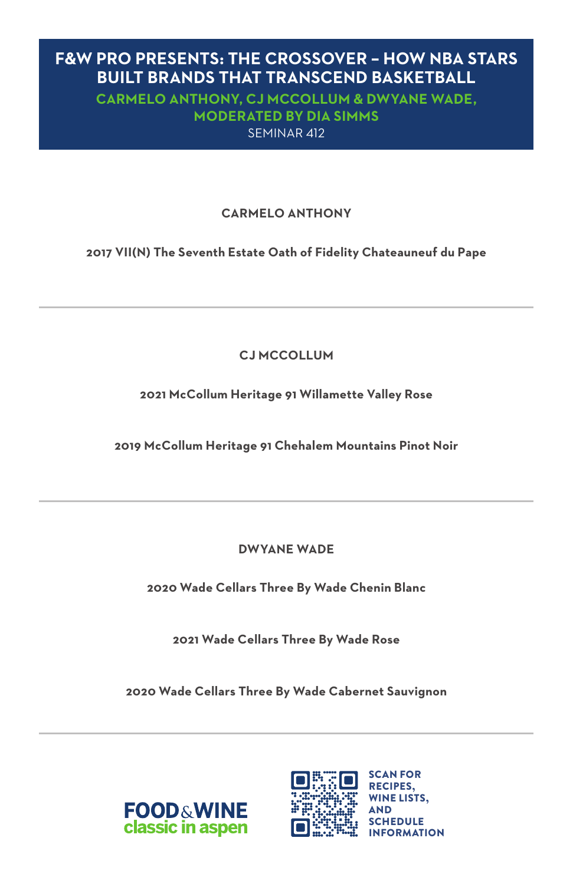#### **F&W PRO PRESENTS: THE CROSSOVER – HOW NBA STARS BUILT BRANDS THAT TRANSCEND BASKETBALL**

**CARMELO ANTHONY, CJ MCCOLLUM & DWYANE WADE, MODERATED BY DIA SIMMS** SEMINAR 412

#### **CARMELO ANTHONY**

**2017 VII(N) The Seventh Estate Oath of Fidelity Chateauneuf du Pape**

**CJ MCCOLLUM** 

**2021 McCollum Heritage 91 Willamette Valley Rose**

**2019 McCollum Heritage 91 Chehalem Mountains Pinot Noir**

**DWYANE WADE** 

**2020 Wade Cellars Three By Wade Chenin Blanc**

**2021 Wade Cellars Three By Wade Rose** 

**2020 Wade Cellars Three By Wade Cabernet Sauvignon** 



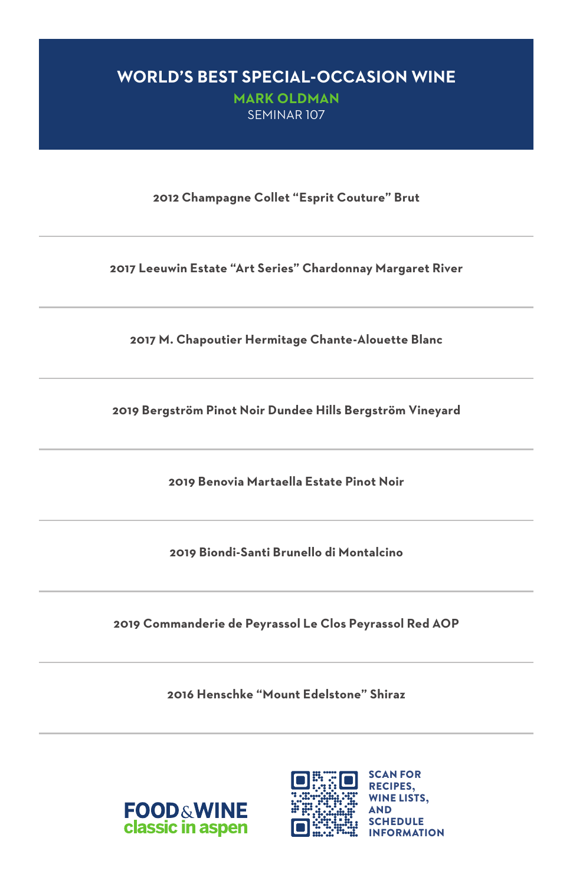# **WORLD'S BEST SPECIAL-OCCASION WINE**

**MARK OLDMAN** SEMINAR 107

**2012 Champagne Collet "Esprit Couture" Brut**

**2017 Leeuwin Estate "Art Series" Chardonnay Margaret River**

**2017 M. Chapoutier Hermitage Chante-Alouette Blanc**

**2019 Bergström Pinot Noir Dundee Hills Bergström Vineyard**

**2019 Benovia Martaella Estate Pinot Noir**

**2019 Biondi-Santi Brunello di Montalcino**

**2019 Commanderie de Peyrassol Le Clos Peyrassol Red AOP**

**2016 Henschke "Mount Edelstone" Shiraz**



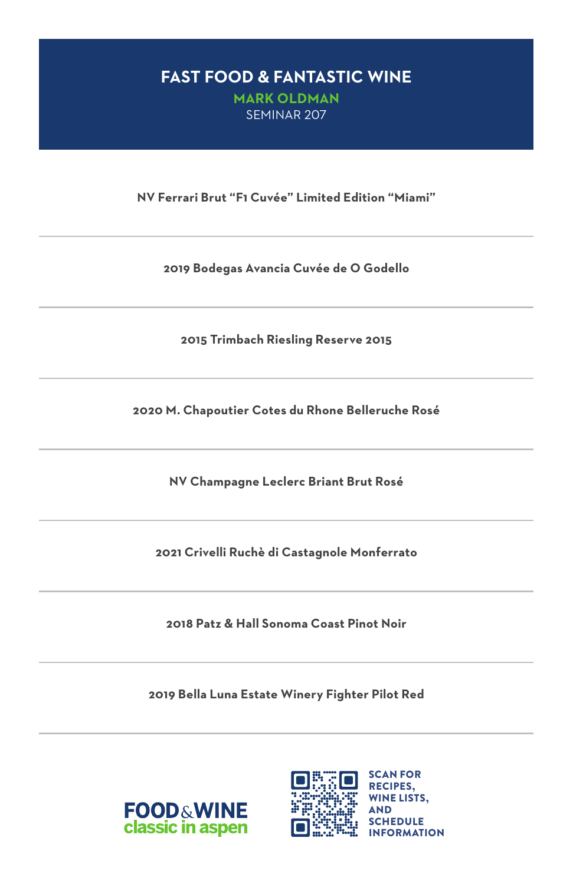#### **FAST FOOD & FANTASTIC WINE MARK OLDMAN** SEMINAR 207

**NV Ferrari Brut "F1 Cuvée" Limited Edition "Miami"**

**2019 Bodegas Avancia Cuvée de O Godello**

**2015 Trimbach Riesling Reserve 2015**

**2020 M. Chapoutier Cotes du Rhone Belleruche Rosé**

**NV Champagne Leclerc Briant Brut Rosé**

**2021 Crivelli Ruchè di Castagnole Monferrato**

**2018 Patz & Hall Sonoma Coast Pinot Noir**

**2019 Bella Luna Estate Winery Fighter Pilot Red**



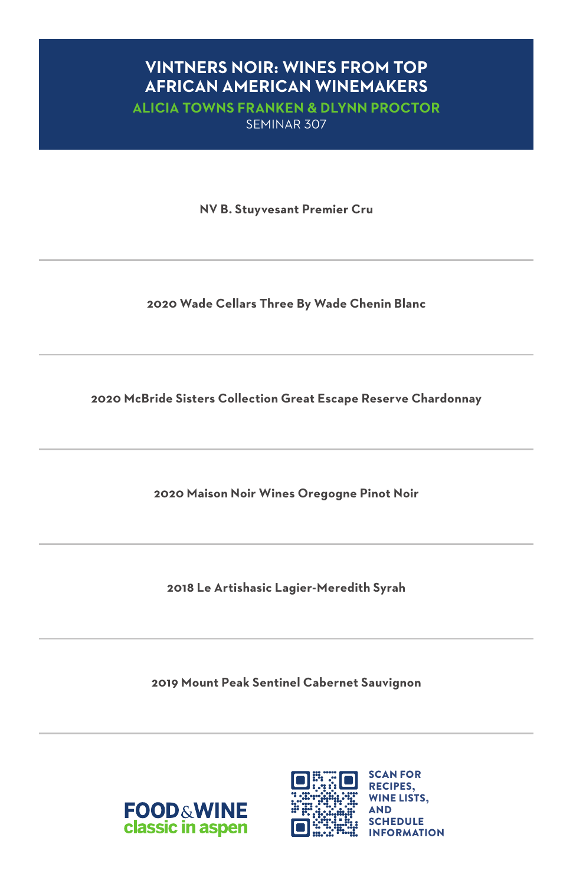### **VINTNERS NOIR: WINES FROM TOP AFRICAN AMERICAN WINEMAKERS**

**ALICIA TOWNS FRANKEN & DLYNN PROCTOR** SEMINAR 307

**NV B. Stuyvesant Premier Cru**

**2020 Wade Cellars Three By Wade Chenin Blanc**

**2020 McBride Sisters Collection Great Escape Reserve Chardonnay**

**2020 Maison Noir Wines Oregogne Pinot Noir**

**2018 Le Artishasic Lagier-Meredith Syrah**

**2019 Mount Peak Sentinel Cabernet Sauvignon**



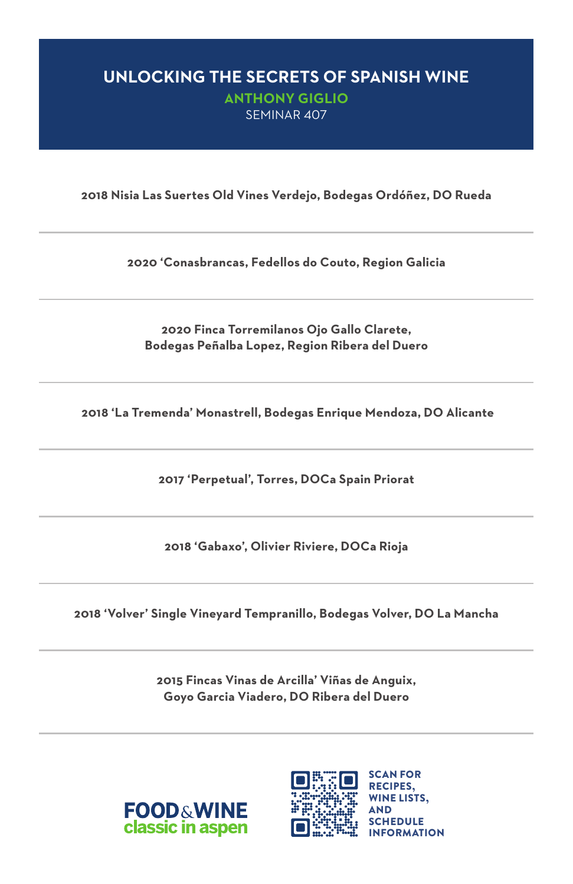# **UNLOCKING THE SECRETS OF SPANISH WINE**

**ANTHONY GIGLIO** SEMINAR 407

**2018 Nisia Las Suertes Old Vines Verdejo, Bodegas Ordóñez, DO Rueda**

**2020 'Conasbrancas, Fedellos do Couto, Region Galicia**

**2020 Finca Torremilanos Ojo Gallo Clarete, Bodegas Peñalba Lopez, Region Ribera del Duero**

 **2018 'La Tremenda' Monastrell, Bodegas Enrique Mendoza, DO Alicante**

**2017 'Perpetual', Torres, DOCa Spain Priorat**

**2018 'Gabaxo', Olivier Riviere, DOCa Rioja**

**2018 'Volver' Single Vineyard Tempranillo, Bodegas Volver, DO La Mancha**

**2015 Fincas Vinas de Arcilla' Viñas de Anguix, Goyo Garcia Viadero, DO Ribera del Duero**



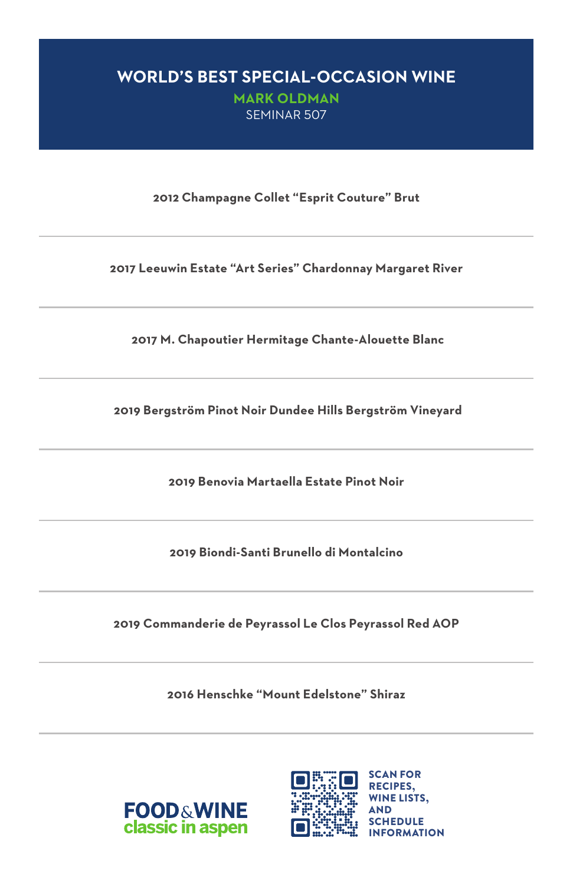#### **WORLD'S BEST SPECIAL-OCCASION WINE**

**MARK OLDMAN**  SEMINAR 507

**2012 Champagne Collet "Esprit Couture" Brut**

**2017 Leeuwin Estate "Art Series" Chardonnay Margaret River**

 **2017 M. Chapoutier Hermitage Chante-Alouette Blanc**

 **2019 Bergström Pinot Noir Dundee Hills Bergström Vineyard**

**2019 Benovia Martaella Estate Pinot Noir**

**2019 Biondi-Santi Brunello di Montalcino**

**2019 Commanderie de Peyrassol Le Clos Peyrassol Red AOP**

**2016 Henschke "Mount Edelstone" Shiraz**



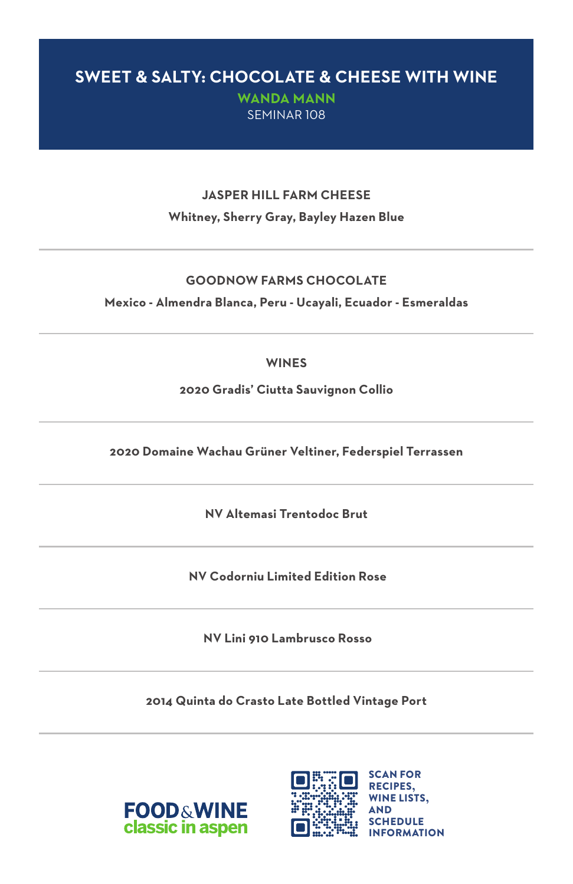### **SWEET & SALTY: CHOCOLATE & CHEESE WITH WINE**

**WANDA MANN**  SEMINAR 108

#### **JASPER HILL FARM CHEESE Whitney, Sherry Gray, Bayley Hazen Blue**

#### **GOODNOW FARMS CHOCOLATE**

**Mexico - Almendra Blanca, Peru - Ucayali, Ecuador - Esmeraldas**

#### **WINES**

**2020 Gradis' Ciutta Sauvignon Collio**

**2020 Domaine Wachau Grüner Veltiner, Federspiel Terrassen**

**NV Altemasi Trentodoc Brut**

 **NV Codorniu Limited Edition Rose**

 **NV Lini 910 Lambrusco Rosso**

**2014 Quinta do Crasto Late Bottled Vintage Port**



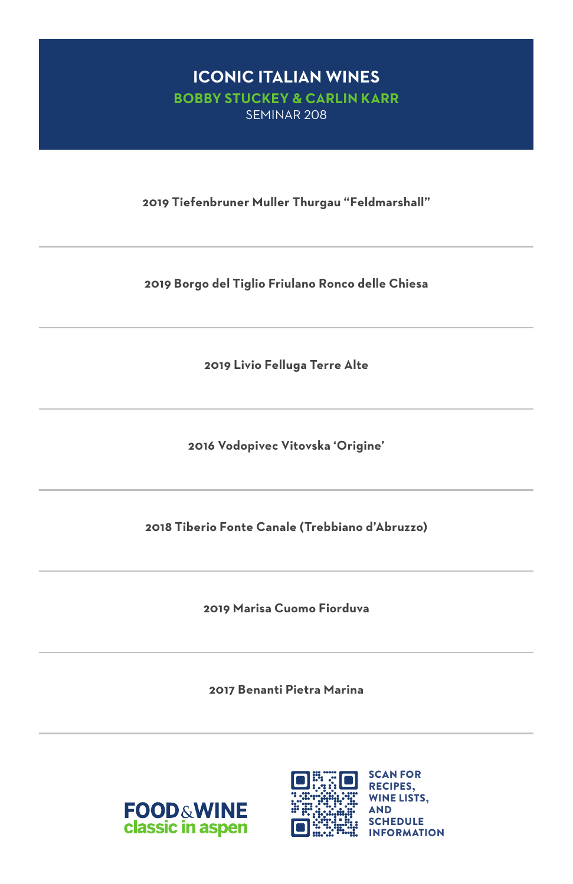#### **ICONIC ITALIAN WINES BOBBY STUCKEY & CARLIN KARR**  SEMINAR 208

**2019 Tiefenbruner Muller Thurgau "Feldmarshall"**

**2019 Borgo del Tiglio Friulano Ronco delle Chiesa**

**2019 Livio Felluga Terre Alte**

**2016 Vodopivec Vitovska 'Origine'**

**2018 Tiberio Fonte Canale (Trebbiano d'Abruzzo)**

**2019 Marisa Cuomo Fiorduva**

**2017 Benanti Pietra Marina**



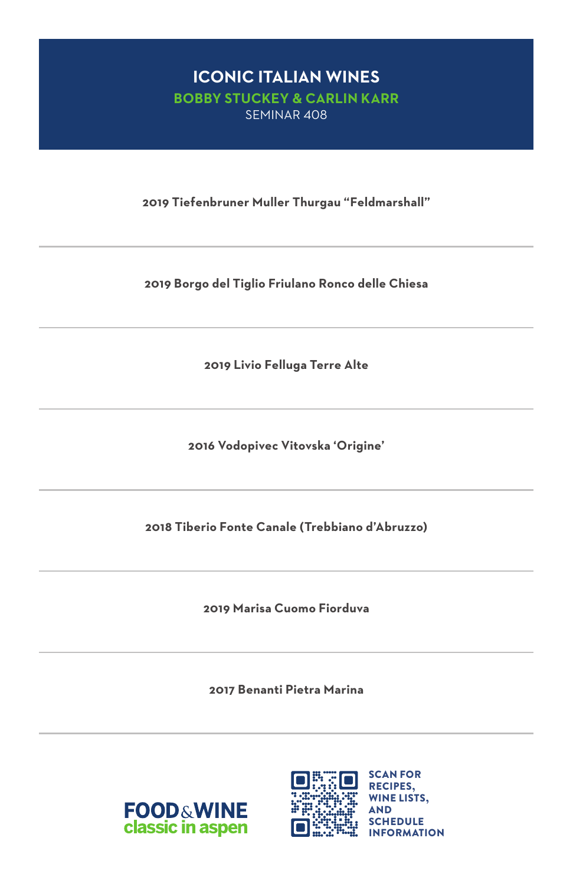#### **ICONIC ITALIAN WINES BOBBY STUCKEY & CARLIN KARR**  SEMINAR 408

**2019 Tiefenbruner Muller Thurgau "Feldmarshall"**

**2019 Borgo del Tiglio Friulano Ronco delle Chiesa**

**2019 Livio Felluga Terre Alte**

**2016 Vodopivec Vitovska 'Origine'**

**2018 Tiberio Fonte Canale (Trebbiano d'Abruzzo)**

**2019 Marisa Cuomo Fiorduva**

**2017 Benanti Pietra Marina**



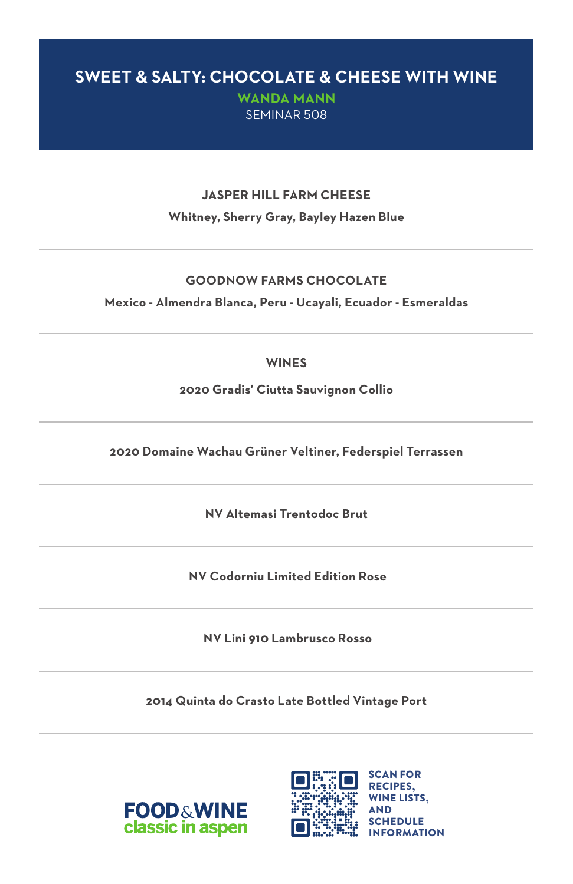### **SWEET & SALTY: CHOCOLATE & CHEESE WITH WINE**

**WANDA MANN**  SEMINAR 508

#### **JASPER HILL FARM CHEESE Whitney, Sherry Gray, Bayley Hazen Blue**

#### **GOODNOW FARMS CHOCOLATE**

**Mexico - Almendra Blanca, Peru - Ucayali, Ecuador - Esmeraldas**

#### **WINES**

**2020 Gradis' Ciutta Sauvignon Collio**

**2020 Domaine Wachau Grüner Veltiner, Federspiel Terrassen**

**NV Altemasi Trentodoc Brut**

 **NV Codorniu Limited Edition Rose**

 **NV Lini 910 Lambrusco Rosso**

**2014 Quinta do Crasto Late Bottled Vintage Port**



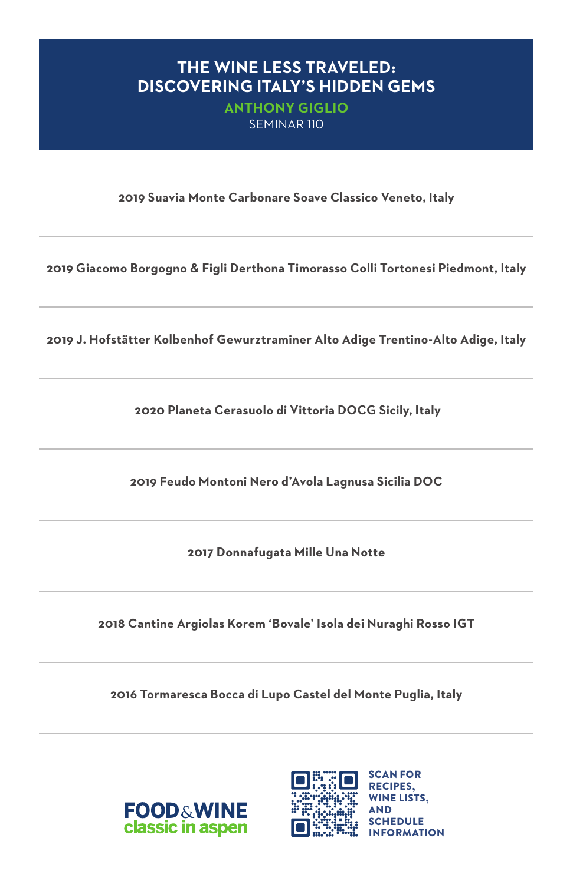#### **THE WINE LESS TRAVELED: DISCOVERING ITALY'S HIDDEN GEMS**

**ANTHONY GIGLIO**  SEMINAR 110

**2019 Suavia Monte Carbonare Soave Classico Veneto, Italy**

**2019 Giacomo Borgogno & Figli Derthona Timorasso Colli Tortonesi Piedmont, Italy**

**2019 J. Hofstätter Kolbenhof Gewurztraminer Alto Adige Trentino-Alto Adige, Italy**

 **2020 Planeta Cerasuolo di Vittoria DOCG Sicily, Italy**

**2019 Feudo Montoni Nero d'Avola Lagnusa Sicilia DOC**

**2017 Donnafugata Mille Una Notte**

**2018 Cantine Argiolas Korem 'Bovale' Isola dei Nuraghi Rosso IGT**

**2016 Tormaresca Bocca di Lupo Castel del Monte Puglia, Italy**



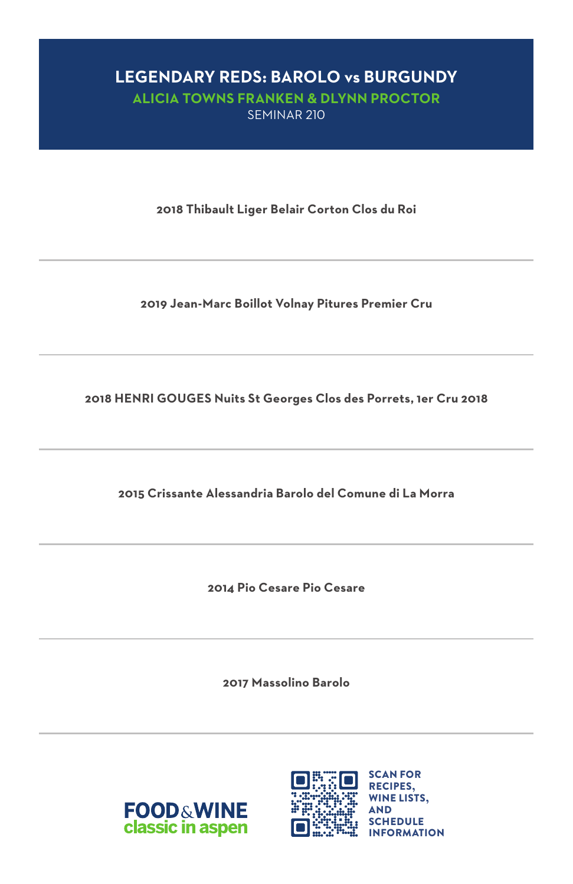# **LEGENDARY REDS: BAROLO vs BURGUNDY**

**ALICIA TOWNS FRANKEN & DLYNN PROCTOR**  SEMINAR 210

**2018 Thibault Liger Belair Corton Clos du Roi**

**2019 Jean-Marc Boillot Volnay Pitures Premier Cru**

**2018 HENRI GOUGES Nuits St Georges Clos des Porrets, 1er Cru 2018**

**2015 Crissante Alessandria Barolo del Comune di La Morra**

**2014 Pio Cesare Pio Cesare**

**2017 Massolino Barolo**



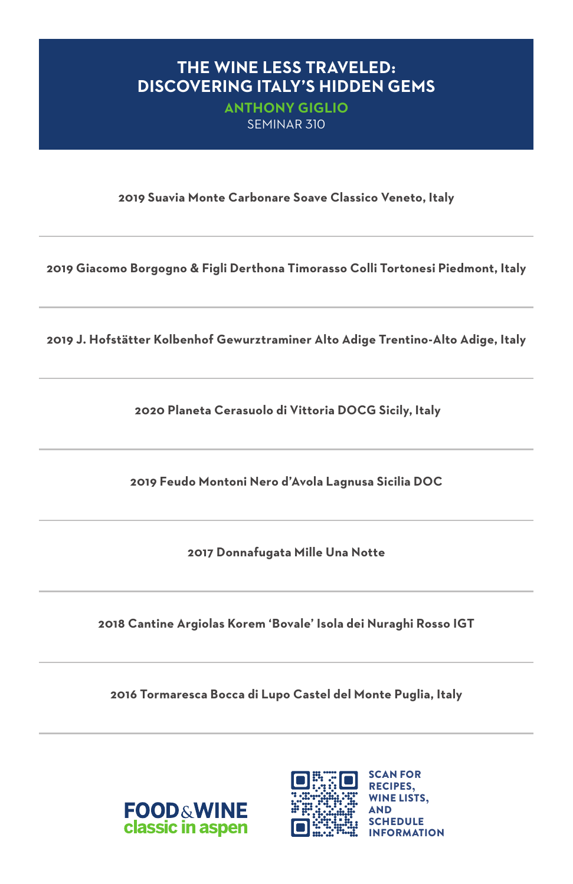### **THE WINE LESS TRAVELED: DISCOVERING ITALY'S HIDDEN GEMS**

**ANTHONY GIGLIO**  SEMINAR 310

**2019 Suavia Monte Carbonare Soave Classico Veneto, Italy**

**2019 Giacomo Borgogno & Figli Derthona Timorasso Colli Tortonesi Piedmont, Italy**

**2019 J. Hofstätter Kolbenhof Gewurztraminer Alto Adige Trentino-Alto Adige, Italy**

 **2020 Planeta Cerasuolo di Vittoria DOCG Sicily, Italy**

**2019 Feudo Montoni Nero d'Avola Lagnusa Sicilia DOC**

**2017 Donnafugata Mille Una Notte**

**2018 Cantine Argiolas Korem 'Bovale' Isola dei Nuraghi Rosso IGT**

**2016 Tormaresca Bocca di Lupo Castel del Monte Puglia, Italy**



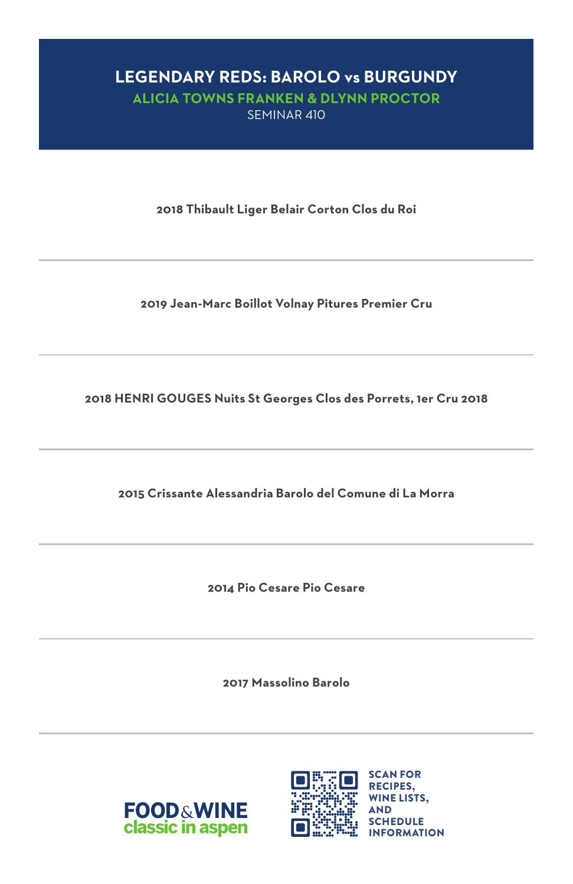# **LEGENDARY REDS: BAROLO vs BURGUNDY**

**ALICIA TOWNS FRANKEN & DLYNN PROCTOR**  SEMINAR 410

**2018 Thibault Liger Belair Corton Clos du Roi**

**2019 Jean-Marc Boillot Volnay Pitures Premier Cru**

**2018 HENRI GOUGES Nuits St Georges Clos des Porrets, 1er Cru 2018**

**2015 Crissante Alessandria Barolo del Comune di La Morra**

**2014 Pio Cesare Pio Cesare**

**2017 Massolino Barolo**



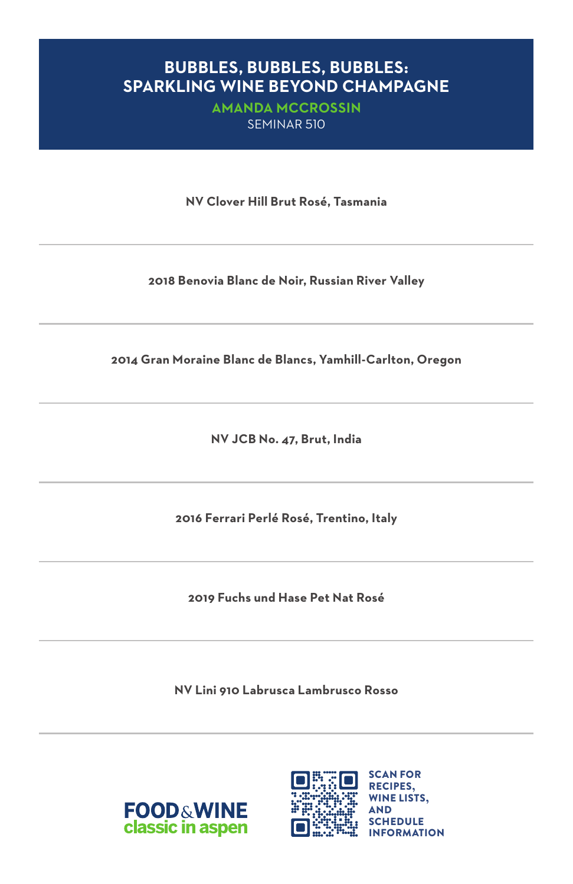#### **BUBBLES, BUBBLES, BUBBLES: SPARKLING WINE BEYOND CHAMPAGNE**

**AMANDA MCCROSSIN**  SEMINAR 510

**NV Clover Hill Brut Rosé, Tasmania**

**2018 Benovia Blanc de Noir, Russian River Valley**

**2014 Gran Moraine Blanc de Blancs, Yamhill-Carlton, Oregon**

**NV JCB No. 47, Brut, India**

**2016 Ferrari Perlé Rosé, Trentino, Italy**

**2019 Fuchs und Hase Pet Nat Rosé**

**NV Lini 910 Labrusca Lambrusco Rosso**



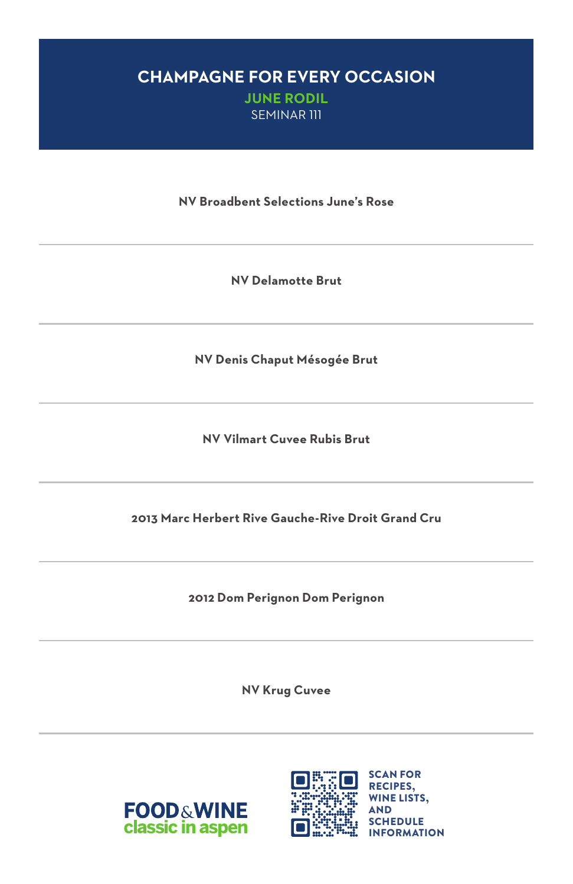#### **CHAMPAGNE FOR EVERY OCCASION JUNE RODIL**

SEMINAR 111

**NV Broadbent Selections June's Rose**

**NV Delamotte Brut**

**NV Denis Chaput Mésogée Brut**

**NV Vilmart Cuvee Rubis Brut**

**2013 Marc Herbert Rive Gauche-Rive Droit Grand Cru**

**2012 Dom Perignon Dom Perignon**

**NV Krug Cuvee**



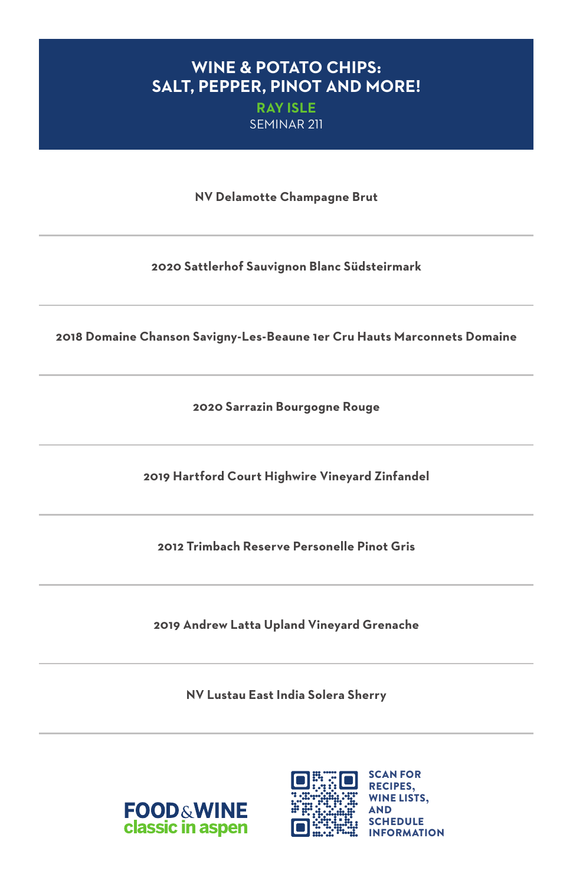### **WINE & POTATO CHIPS: SALT, PEPPER, PINOT AND MORE!**

**RAY ISLE**  SEMINAR 211

**NV Delamotte Champagne Brut**

**2020 Sattlerhof Sauvignon Blanc Südsteirmark**

**2018 Domaine Chanson Savigny-Les-Beaune 1er Cru Hauts Marconnets Domaine**

**2020 Sarrazin Bourgogne Rouge**

**2019 Hartford Court Highwire Vineyard Zinfandel**

**2012 Trimbach Reserve Personelle Pinot Gris**

**2019 Andrew Latta Upland Vineyard Grenache**

**NV Lustau East India Solera Sherry**



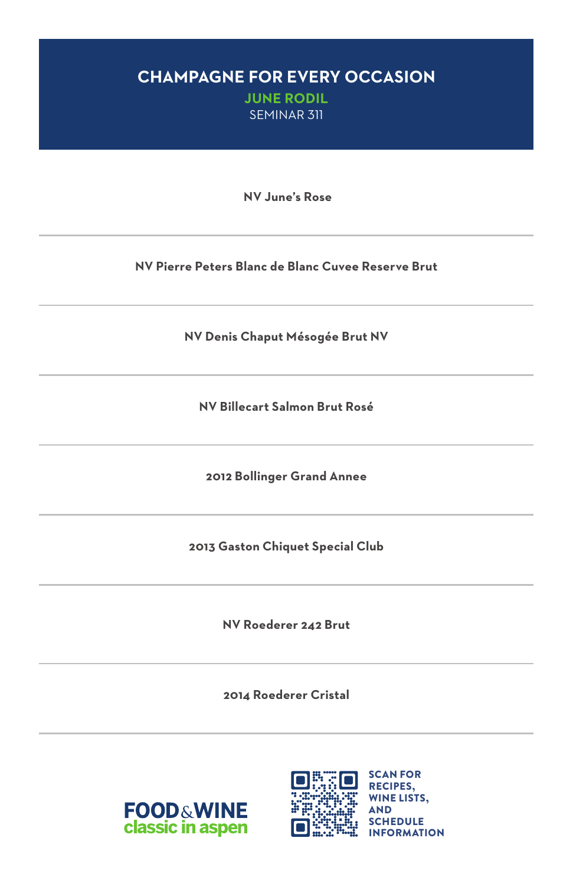### **CHAMPAGNE FOR EVERY OCCASION JUNE RODIL**

SEMINAR 311

 **NV June's Rose**

**NV Pierre Peters Blanc de Blanc Cuvee Reserve Brut**

**NV Denis Chaput Mésogée Brut NV**

**NV Billecart Salmon Brut Rosé**

**2012 Bollinger Grand Annee**

**2013 Gaston Chiquet Special Club**

**NV Roederer 242 Brut**

**2014 Roederer Cristal**



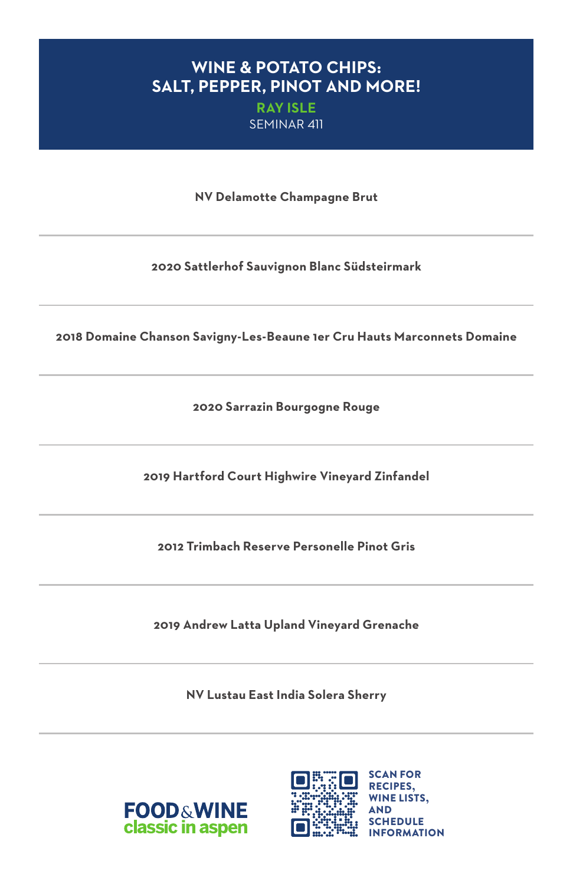### **WINE & POTATO CHIPS: SALT, PEPPER, PINOT AND MORE!**

**RAY ISLE**  SEMINAR 411

**NV Delamotte Champagne Brut**

**2020 Sattlerhof Sauvignon Blanc Südsteirmark**

**2018 Domaine Chanson Savigny-Les-Beaune 1er Cru Hauts Marconnets Domaine**

**2020 Sarrazin Bourgogne Rouge**

**2019 Hartford Court Highwire Vineyard Zinfandel**

**2012 Trimbach Reserve Personelle Pinot Gris**

**2019 Andrew Latta Upland Vineyard Grenache**

**NV Lustau East India Solera Sherry**



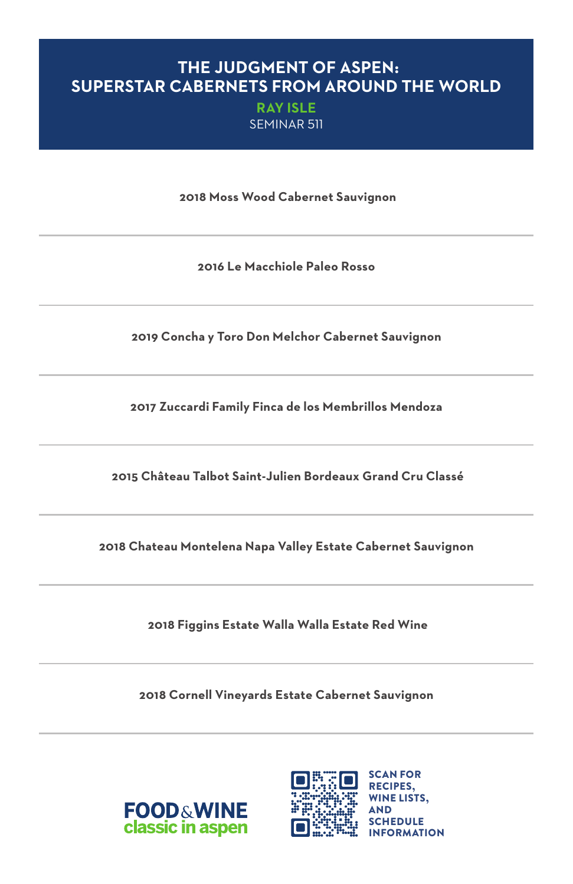#### **THE JUDGMENT OF ASPEN: SUPERSTAR CABERNETS FROM AROUND THE WORLD**

**RAY ISLE**  SEMINAR 511

 **2018 Moss Wood Cabernet Sauvignon**

**2016 Le Macchiole Paleo Rosso**

**2019 Concha y Toro Don Melchor Cabernet Sauvignon**

**2017 Zuccardi Family Finca de los Membrillos Mendoza**

 **2015 Château Talbot Saint-Julien Bordeaux Grand Cru Classé**

**2018 Chateau Montelena Napa Valley Estate Cabernet Sauvignon**

 **2018 Figgins Estate Walla Walla Estate Red Wine**

**2018 Cornell Vineyards Estate Cabernet Sauvignon**



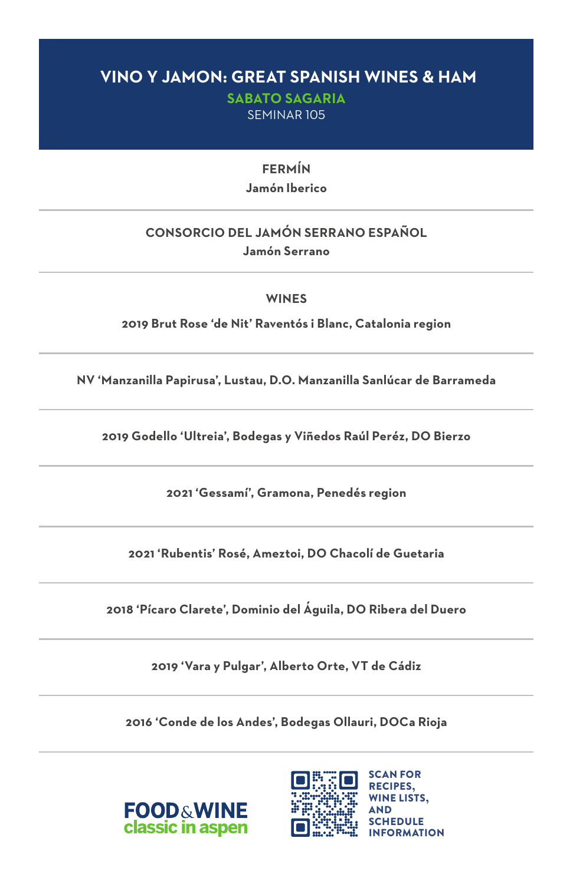#### **VINO Y JAMON: GREAT SPANISH WINES & HAM**

**SABATO SAGARIA**  SEMINAR 105

> **FERMÍN Jamón Iberico**

#### **CONSORCIO DEL JAMÓN SERRANO ESPAÑOL Jamón Serrano**

**WINES**

**2019 Brut Rose 'de Nit' Raventós i Blanc, Catalonia region**

**NV 'Manzanilla Papirusa', Lustau, D.O. Manzanilla Sanlúcar de Barrameda**

**2019 Godello 'Ultreia', Bodegas y Viñedos Raúl Peréz, DO Bierzo**

**2021 'Gessamí', Gramona, Penedés region**

**2021 'Rubentis' Rosé, Ameztoi, DO Chacolí de Guetaria**

**2018 'Pícaro Clarete', Dominio del Águila, DO Ribera del Duero**

**2019 'Vara y Pulgar', Alberto Orte, VT de Cádiz**

**2016 'Conde de los Andes', Bodegas Ollauri, DOCa Rioja**



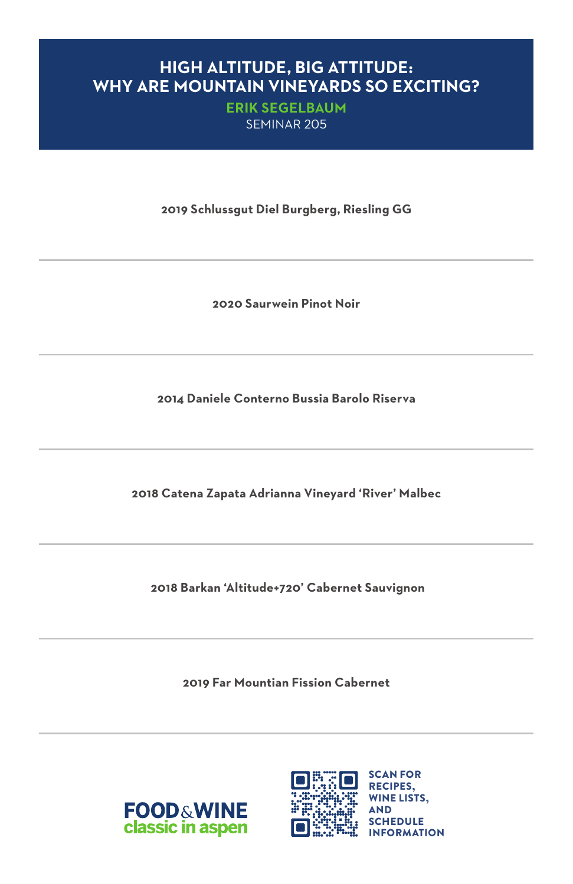#### **HIGH ALTITUDE, BIG ATTITUDE: WHY ARE MOUNTAIN VINEYARDS SO EXCITING?**

**ERIK SEGELBAUM**  SEMINAR 205

**2019 Schlussgut Diel Burgberg, Riesling GG**

**2020 Saurwein Pinot Noir**

**2014 Daniele Conterno Bussia Barolo Riserva**

**2018 Catena Zapata Adrianna Vineyard 'River' Malbec**

 **2018 Barkan 'Altitude+720' Cabernet Sauvignon**

**2019 Far Mountian Fission Cabernet**



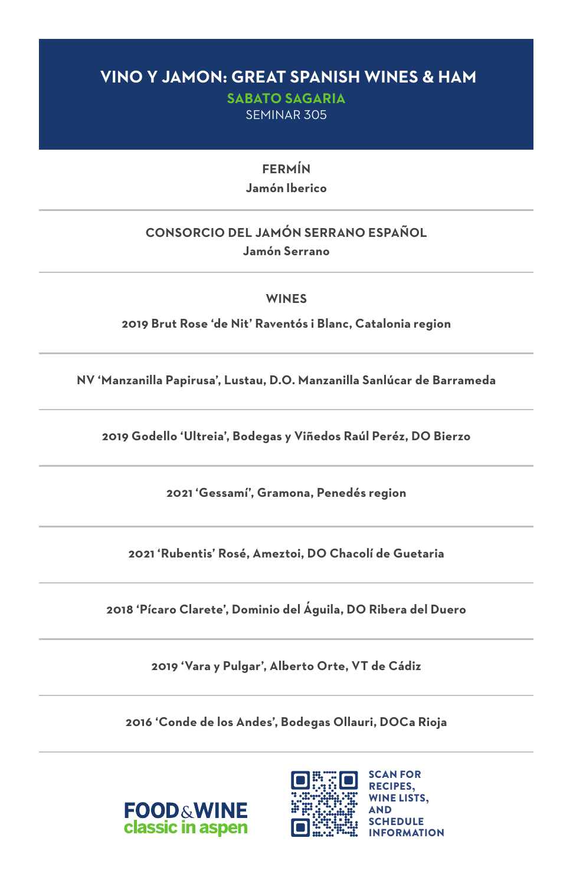### **VINO Y JAMON: GREAT SPANISH WINES & HAM**

**SABATO SAGARIA**  SEMINAR 305

> **FERMÍN Jamón Iberico**

#### **CONSORCIO DEL JAMÓN SERRANO ESPAÑOL Jamón Serrano**

**WINES**

**2019 Brut Rose 'de Nit' Raventós i Blanc, Catalonia region**

**NV 'Manzanilla Papirusa', Lustau, D.O. Manzanilla Sanlúcar de Barrameda**

**2019 Godello 'Ultreia', Bodegas y Viñedos Raúl Peréz, DO Bierzo**

**2021 'Gessamí', Gramona, Penedés region**

**2021 'Rubentis' Rosé, Ameztoi, DO Chacolí de Guetaria**

**2018 'Pícaro Clarete', Dominio del Águila, DO Ribera del Duero**

**2019 'Vara y Pulgar', Alberto Orte, VT de Cádiz**

**2016 'Conde de los Andes', Bodegas Ollauri, DOCa Rioja**



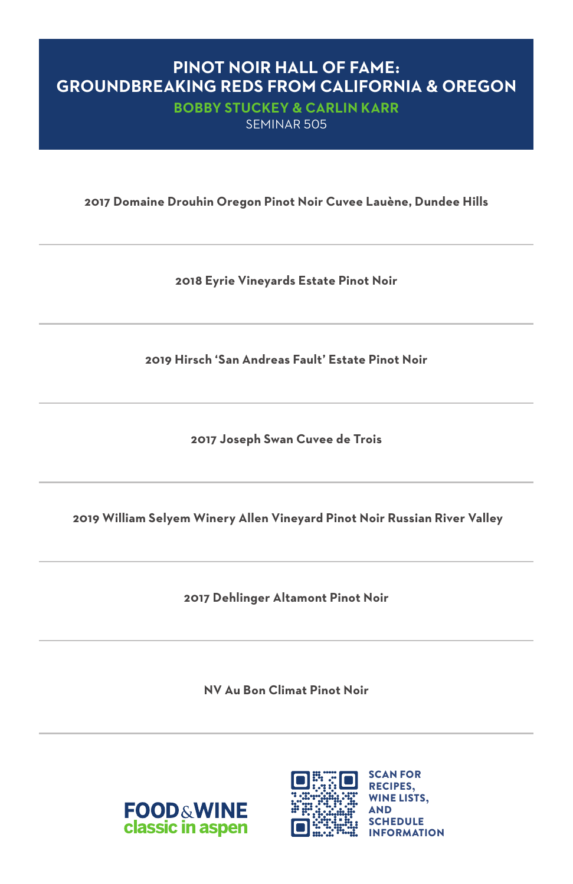#### **PINOT NOIR HALL OF FAME: GROUNDBREAKING REDS FROM CALIFORNIA & OREGON**

**BOBBY STUCKEY & CARLIN KARR**  SEMINAR 505

**2017 Domaine Drouhin Oregon Pinot Noir Cuvee Lauène, Dundee Hills**

**2018 Eyrie Vineyards Estate Pinot Noir**

**2019 Hirsch 'San Andreas Fault' Estate Pinot Noir**

**2017 Joseph Swan Cuvee de Trois**

 **2019 William Selyem Winery Allen Vineyard Pinot Noir Russian River Valley**

**2017 Dehlinger Altamont Pinot Noir**

**NV Au Bon Climat Pinot Noir**



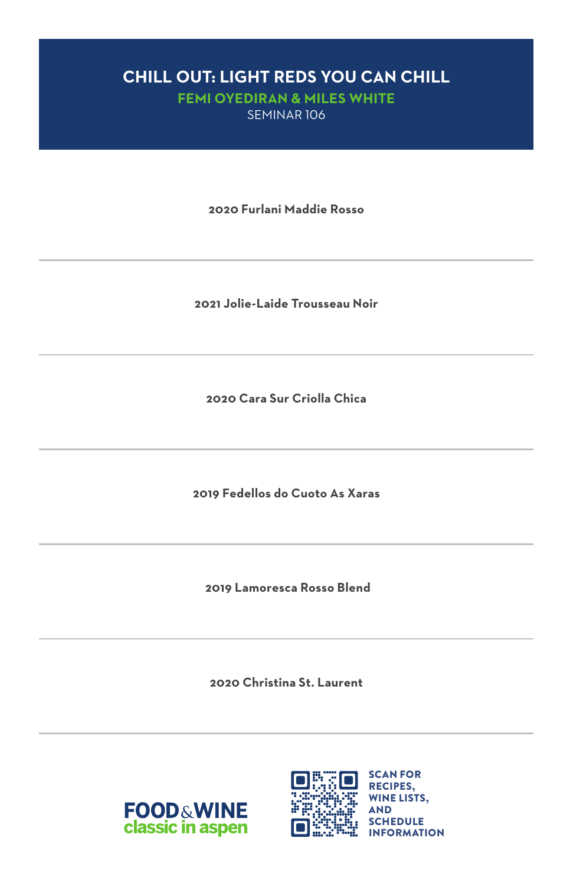# **CHILL OUT: LIGHT REDS YOU CAN CHILL**

**FEMI OYEDIRAN & MILES WHITE**  SEMINAR 106

**2020 Furlani Maddie Rosso**

**2021 Jolie-Laide Trousseau Noir**

**2020 Cara Sur Criolla Chica**

**2019 Fedellos do Cuoto As Xaras**

 **2019 Lamoresca Rosso Blend**

**2020 Christina St. Laurent**



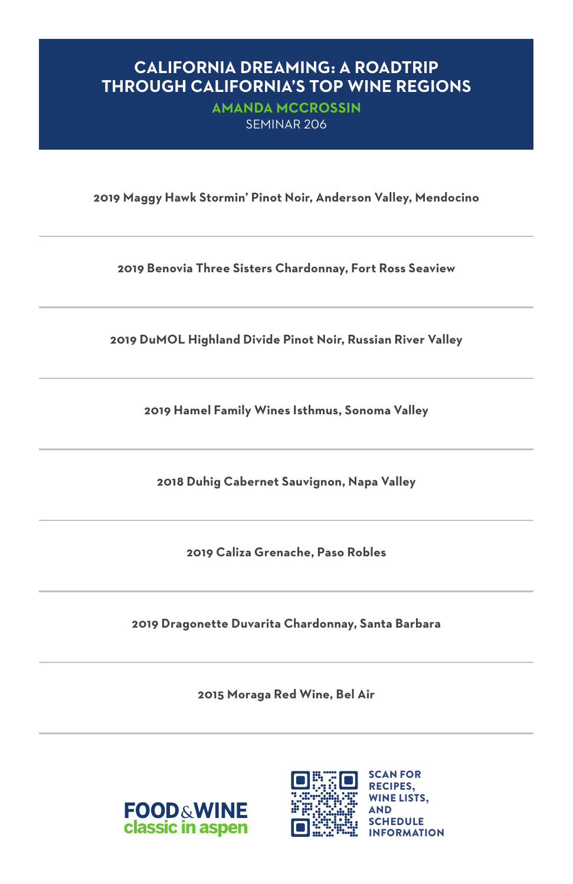#### **CALIFORNIA DREAMING: A ROADTRIP THROUGH CALIFORNIA'S TOP WINE REGIONS**

**AMANDA MCCROSSIN**  SEMINAR 206

**2019 Maggy Hawk Stormin' Pinot Noir, Anderson Valley, Mendocino**

**2019 Benovia Three Sisters Chardonnay, Fort Ross Seaview**

**2019 DuMOL Highland Divide Pinot Noir, Russian River Valley**

**2019 Hamel Family Wines Isthmus, Sonoma Valley**

**2018 Duhig Cabernet Sauvignon, Napa Valley**

**2019 Caliza Grenache, Paso Robles**

**2019 Dragonette Duvarita Chardonnay, Santa Barbara**

**2015 Moraga Red Wine, Bel Air**



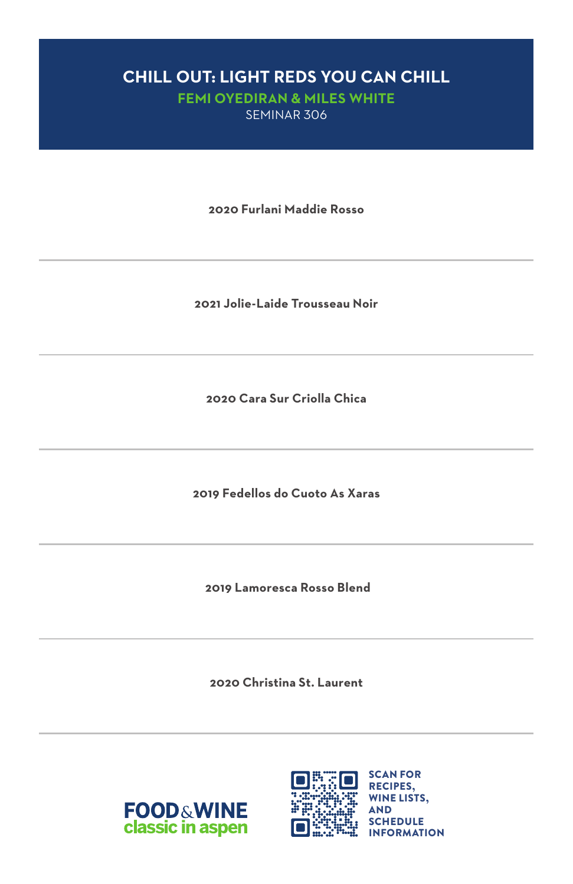# **CHILL OUT: LIGHT REDS YOU CAN CHILL**

**FEMI OYEDIRAN & MILES WHITE**  SEMINAR 306

**2020 Furlani Maddie Rosso**

**2021 Jolie-Laide Trousseau Noir**

**2020 Cara Sur Criolla Chica**

**2019 Fedellos do Cuoto As Xaras**

 **2019 Lamoresca Rosso Blend**

**2020 Christina St. Laurent**



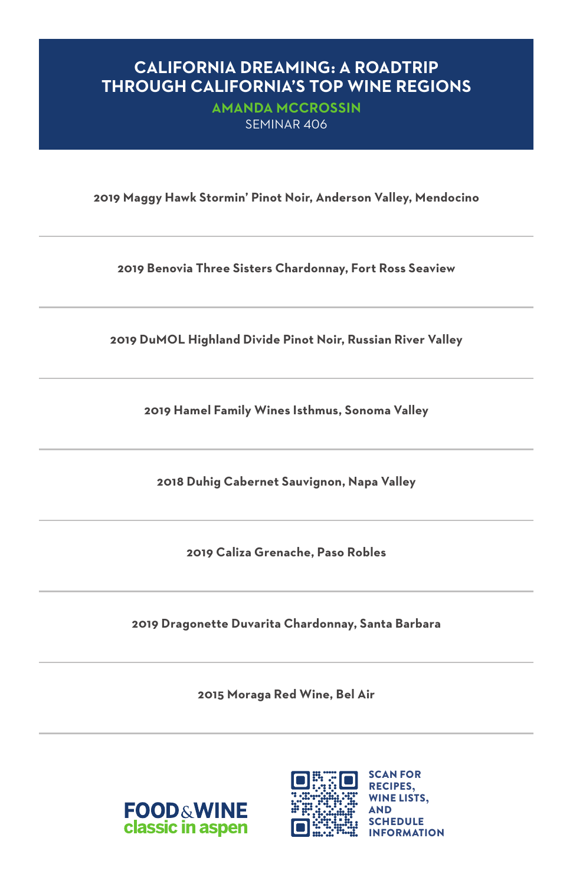#### **CALIFORNIA DREAMING: A ROADTRIP THROUGH CALIFORNIA'S TOP WINE REGIONS**

**AMANDA MCCROSSIN**  SEMINAR 406

**2019 Maggy Hawk Stormin' Pinot Noir, Anderson Valley, Mendocino**

**2019 Benovia Three Sisters Chardonnay, Fort Ross Seaview**

**2019 DuMOL Highland Divide Pinot Noir, Russian River Valley**

**2019 Hamel Family Wines Isthmus, Sonoma Valley**

**2018 Duhig Cabernet Sauvignon, Napa Valley**

**2019 Caliza Grenache, Paso Robles**

**2019 Dragonette Duvarita Chardonnay, Santa Barbara**

**2015 Moraga Red Wine, Bel Air**